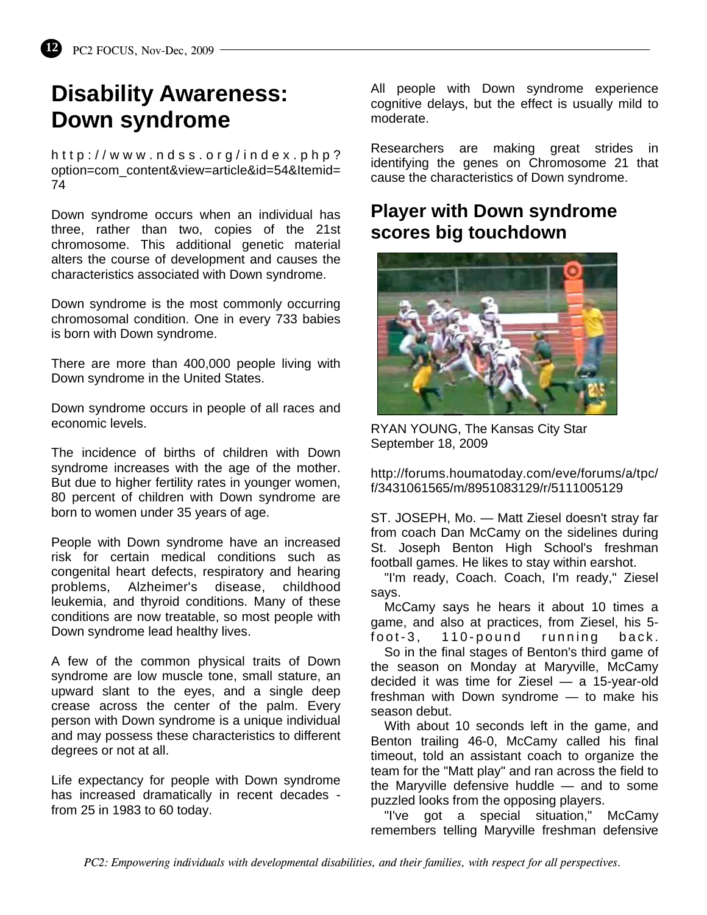## **Disability Awareness: Down syndrome**

http://www.ndss.org/index.php? option=com\_content&view=article&id=54&Itemid= 74

Down syndrome occurs when an individual has three, rather than two, copies of the 21st chromosome. This additional genetic material alters the course of development and causes the characteristics associated with Down syndrome.

Down syndrome is the most commonly occurring chromosomal condition. One in every 733 babies is born with Down syndrome.

There are more than 400,000 people living with Down syndrome in the United States.

Down syndrome occurs in people of all races and economic levels.

The incidence of births of children with Down syndrome increases with the age of the mother. But due to higher fertility rates in younger women, 80 percent of children with Down syndrome are born to women under 35 years of age.

People with Down syndrome have an increased risk for certain medical conditions such as congenital heart defects, respiratory and hearing problems, Alzheimer's disease, childhood leukemia, and thyroid conditions. Many of these conditions are now treatable, so most people with Down syndrome lead healthy lives.

A few of the common physical traits of Down syndrome are low muscle tone, small stature, an upward slant to the eyes, and a single deep crease across the center of the palm. Every person with Down syndrome is a unique individual and may possess these characteristics to different degrees or not at all.

Life expectancy for people with Down syndrome has increased dramatically in recent decades from 25 in 1983 to 60 today.

All people with Down syndrome experience cognitive delays, but the effect is usually mild to moderate.

Researchers are making great strides in identifying the genes on Chromosome 21 that cause the characteristics of Down syndrome.

## **Player with Down syndrome scores big touchdown**



RYAN YOUNG, The Kansas City Star September 18, 2009

http://forums.houmatoday.com/eve/forums/a/tpc/ f/3431061565/m/8951083129/r/5111005129

ST. JOSEPH, Mo. — Matt Ziesel doesn't stray far from coach Dan McCamy on the sidelines during St. Joseph Benton High School's freshman football games. He likes to stay within earshot.

 "I'm ready, Coach. Coach, I'm ready," Ziesel says.

 McCamy says he hears it about 10 times a game, and also at practices, from Ziesel, his 5–<br>foot–3, 110–pound running back.  $foot-3.$  110-pound running

 So in the final stages of Benton's third game of the season on Monday at Maryville, McCamy decided it was time for Ziesel — a 15-year-old freshman with Down syndrome — to make his season debut.

 With about 10 seconds left in the game, and Benton trailing 46-0, McCamy called his final timeout, told an assistant coach to organize the team for the "Matt play" and ran across the field to the Maryville defensive huddle — and to some puzzled looks from the opposing players.

 "I've got a special situation," McCamy remembers telling Maryville freshman defensive